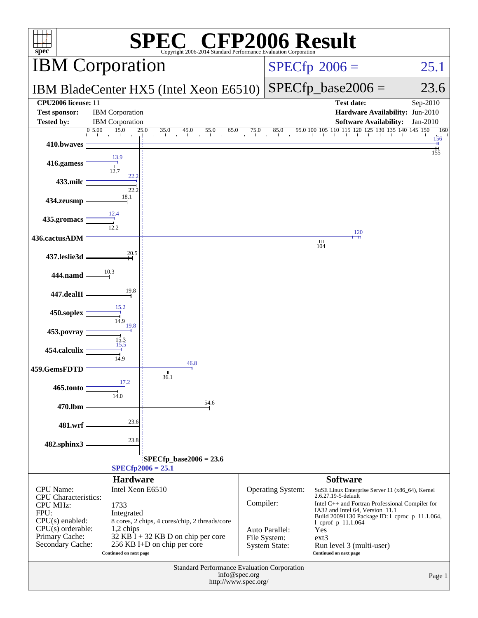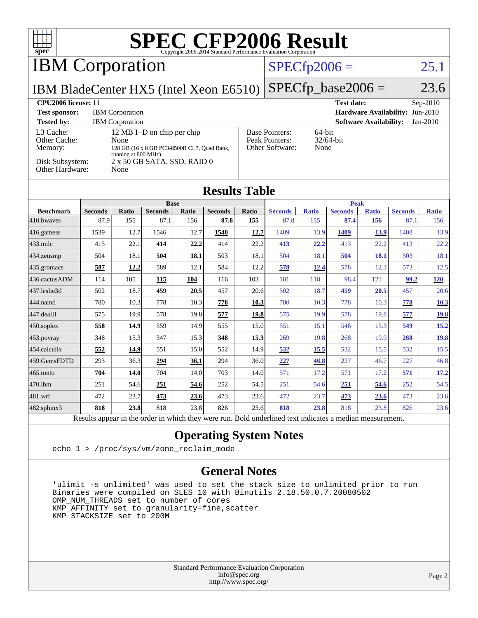| $spec^*$                                                                                                                                                                                                                                                                                                                               |                |                                                  |                |                      |                      |       | $\text{SPE}_{\text{Copyright 2006-2014 Standard Performance Evaluation Corporation}} \text{Corp}_{\text{Corportion}}$ |                     |                        |                               |                                 |                        |
|----------------------------------------------------------------------------------------------------------------------------------------------------------------------------------------------------------------------------------------------------------------------------------------------------------------------------------------|----------------|--------------------------------------------------|----------------|----------------------|----------------------|-------|-----------------------------------------------------------------------------------------------------------------------|---------------------|------------------------|-------------------------------|---------------------------------|------------------------|
| <b>IBM</b> Corporation                                                                                                                                                                                                                                                                                                                 |                |                                                  |                |                      |                      |       | $SPECfp2006 =$                                                                                                        |                     |                        |                               |                                 | 25.1                   |
| IBM BladeCenter HX5 (Intel Xeon E6510)                                                                                                                                                                                                                                                                                                 |                |                                                  |                |                      |                      |       |                                                                                                                       |                     | $SPECfp\_base2006 =$   |                               |                                 | 23.6                   |
| CPU2006 license: 11<br><b>Test sponsor:</b><br><b>Tested by:</b>                                                                                                                                                                                                                                                                       |                | <b>IBM</b> Corporation<br><b>IBM</b> Corporation |                |                      |                      |       |                                                                                                                       |                     | <b>Test date:</b>      | <b>Software Availability:</b> | Hardware Availability: Jun-2010 | Sep-2010<br>$Jan-2010$ |
| 12 MB I+D on chip per chip<br><b>Base Pointers:</b><br>64-bit<br>L <sub>3</sub> Cache:<br>Peak Pointers:<br>32/64-bit<br>Other Cache:<br>None<br>Other Software:<br>Memory:<br>None<br>128 GB (16 x 8 GB PC3-8500R CL7, Quad Rank,<br>running at 800 MHz)<br>Disk Subsystem:<br>2 x 50 GB SATA, SSD, RAID 0<br>Other Hardware:<br>None |                |                                                  |                |                      |                      |       |                                                                                                                       |                     |                        |                               |                                 |                        |
|                                                                                                                                                                                                                                                                                                                                        |                |                                                  |                |                      | <b>Results Table</b> |       |                                                                                                                       |                     |                        |                               |                                 |                        |
| <b>Benchmark</b>                                                                                                                                                                                                                                                                                                                       | <b>Seconds</b> | <b>Ratio</b>                                     | <b>Seconds</b> | <b>Base</b><br>Ratio | <b>Seconds</b>       | Ratio | <b>Peak</b>                                                                                                           |                     |                        |                               |                                 | <b>Ratio</b>           |
| 410.bwayes                                                                                                                                                                                                                                                                                                                             | 87.9           | 155                                              | 87.1           | 156                  | 87.8                 | 155   | <b>Seconds</b><br>87.8                                                                                                | <b>Ratio</b><br>155 | <b>Seconds</b><br>87.4 | <b>Ratio</b><br><b>156</b>    | <b>Seconds</b><br>87.1          | 156                    |
| 416.gamess                                                                                                                                                                                                                                                                                                                             | 1539           | 12.7                                             | 1546           | 12.7                 | 1540                 | 12.7  | 1409                                                                                                                  | 13.9                | 1409                   | 13.9                          | 1408                            | 13.9                   |
| 433.milc                                                                                                                                                                                                                                                                                                                               | 415            | 22.1                                             | 414            | 22.2                 | 414                  | 22.2  | 413                                                                                                                   | 22.2                | 413                    | 22.2                          | 413                             | 22.2                   |
| 434.zeusmp                                                                                                                                                                                                                                                                                                                             | 504            | 18.1                                             | 504            | 18.1                 | 503                  | 18.1  | 504                                                                                                                   | 18.1                | 504                    | 18.1                          | 503                             | 18.1                   |
| 435.gromacs                                                                                                                                                                                                                                                                                                                            | 587            | 12.2                                             | 589            | 12.1                 | 584                  | 12.2  | 578                                                                                                                   | <b>12.4</b>         | 578                    | 12.3                          | 573                             | 12.5                   |
| 436.cactusADM                                                                                                                                                                                                                                                                                                                          | 114            | 105                                              | 115            | 104                  | 116                  | 103   | 101                                                                                                                   | 118                 | 98.4                   | 121                           | 99.2                            | <b>120</b>             |
| 437.leslie3d                                                                                                                                                                                                                                                                                                                           | 502            | 18.7                                             | 459            | 20.5                 | 457                  | 20.6  | 502                                                                                                                   | 18.7                | 459                    | 20.5                          | 457                             | 20.6                   |
| 444.namd                                                                                                                                                                                                                                                                                                                               | 780            | 10.3                                             | 778            | 10.3                 | 778                  | 10.3  | 780                                                                                                                   | 10.3                | 778                    | 10.3                          | 778                             | 10.3                   |
| 447.dealII                                                                                                                                                                                                                                                                                                                             | 575            | 19.9                                             | 578            | 19.8                 | 577                  | 19.8  | 575                                                                                                                   | 19.9                | 578                    | 19.8                          | 577                             | 19.8                   |
| 450.soplex                                                                                                                                                                                                                                                                                                                             | 558            | 14.9                                             | 559            | 14.9                 | 555                  | 15.0  | 551                                                                                                                   | 15.1                | 546                    | 15.3                          | 549                             | 15.2                   |
| 453.povray                                                                                                                                                                                                                                                                                                                             | 348            | 15.3                                             | 347            | 15.3                 | 348                  | 15.3  | 269                                                                                                                   | 19.8                | 268                    | 19.9                          | 268                             | 19.8                   |
| 454.calculix                                                                                                                                                                                                                                                                                                                           | 552            | 14.9                                             | 551            | 15.0                 | 552                  | 14.9  | 532                                                                                                                   | 15.5                | 532                    | 15.5                          | 532                             | 15.5                   |
| 459.GemsFDTD                                                                                                                                                                                                                                                                                                                           | 293            | 36.3                                             | 294            | 36.1                 | 294                  | 36.0  | 227                                                                                                                   | 46.8                | 227                    | 46.7                          | 227                             | 46.8                   |
| 465.tonto                                                                                                                                                                                                                                                                                                                              | 704            | 14.0                                             | 704            | 14.0                 | 703                  | 14.0  | 571                                                                                                                   | 17.2                | 571                    | 17.2                          | 571                             | 17.2                   |
| 470.1bm                                                                                                                                                                                                                                                                                                                                | 251            | 54.6                                             | 251            | 54.6                 | 252                  | 54.5  | 251                                                                                                                   | 54.6                | 251                    | 54.6                          | 252                             | 54.5                   |
| 481.wrf                                                                                                                                                                                                                                                                                                                                | 472            | 23.7                                             | 473            | 23.6                 | 473                  | 23.6  | 472                                                                                                                   | 23.7                | 473                    | 23.6                          | 473                             | 23.6                   |
| 482.sphinx3                                                                                                                                                                                                                                                                                                                            | 818            | 23.8                                             | 818            | 23.8                 | 826                  | 23.6  | 818                                                                                                                   | 23.8                | 818                    | 23.8                          | 826                             | 23.6                   |

Results appear in the [order in which they were run.](http://www.spec.org/auto/cpu2006/Docs/result-fields.html#RunOrder) Bold underlined text [indicates a median measurement.](http://www.spec.org/auto/cpu2006/Docs/result-fields.html#Median)

### **[Operating System Notes](http://www.spec.org/auto/cpu2006/Docs/result-fields.html#OperatingSystemNotes)**

echo 1 > /proc/sys/vm/zone\_reclaim\_mode

#### **[General Notes](http://www.spec.org/auto/cpu2006/Docs/result-fields.html#GeneralNotes)**

 'ulimit -s unlimited' was used to set the stack size to unlimited prior to run Binaries were compiled on SLES 10 with Binutils 2.18.50.0.7.20080502 OMP\_NUM\_THREADS set to number of cores KMP\_AFFINITY set to granularity=fine,scatter KMP\_STACKSIZE set to 200M

> Standard Performance Evaluation Corporation [info@spec.org](mailto:info@spec.org) <http://www.spec.org/>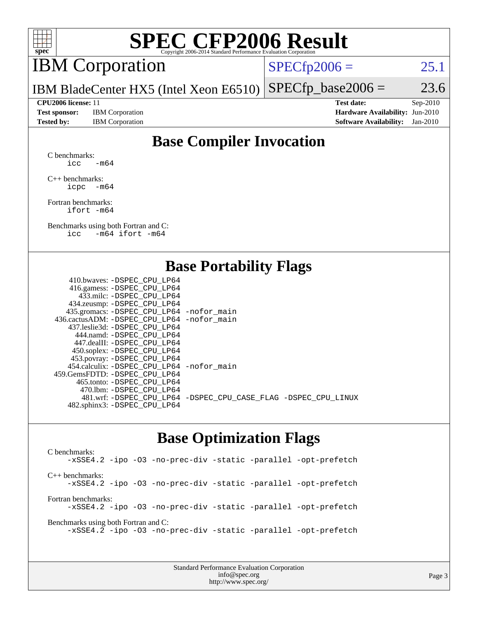

# **[SPEC CFP2006 Result](http://www.spec.org/auto/cpu2006/Docs/result-fields.html#SPECCFP2006Result)**

# IBM Corporation

 $SPECTp2006 = 25.1$ 

IBM BladeCenter HX5 (Intel Xeon E6510)  $SPECTp\_base2006 = 23.6$ 

**[Test sponsor:](http://www.spec.org/auto/cpu2006/Docs/result-fields.html#Testsponsor)** IBM Corporation **[Hardware Availability:](http://www.spec.org/auto/cpu2006/Docs/result-fields.html#HardwareAvailability)** Jun-2010

**[CPU2006 license:](http://www.spec.org/auto/cpu2006/Docs/result-fields.html#CPU2006license)** 11 **[Test date:](http://www.spec.org/auto/cpu2006/Docs/result-fields.html#Testdate)** Sep-2010 **[Tested by:](http://www.spec.org/auto/cpu2006/Docs/result-fields.html#Testedby)** IBM Corporation **[Software Availability:](http://www.spec.org/auto/cpu2006/Docs/result-fields.html#SoftwareAvailability)** Jan-2010

## **[Base Compiler Invocation](http://www.spec.org/auto/cpu2006/Docs/result-fields.html#BaseCompilerInvocation)**

[C benchmarks](http://www.spec.org/auto/cpu2006/Docs/result-fields.html#Cbenchmarks): icc  $-m64$ 

[C++ benchmarks:](http://www.spec.org/auto/cpu2006/Docs/result-fields.html#CXXbenchmarks) [icpc -m64](http://www.spec.org/cpu2006/results/res2010q3/cpu2006-20100914-13295.flags.html#user_CXXbase_intel_icpc_64bit_bedb90c1146cab66620883ef4f41a67e)

[Fortran benchmarks](http://www.spec.org/auto/cpu2006/Docs/result-fields.html#Fortranbenchmarks): [ifort -m64](http://www.spec.org/cpu2006/results/res2010q3/cpu2006-20100914-13295.flags.html#user_FCbase_intel_ifort_64bit_ee9d0fb25645d0210d97eb0527dcc06e)

[Benchmarks using both Fortran and C](http://www.spec.org/auto/cpu2006/Docs/result-fields.html#BenchmarksusingbothFortranandC): [icc -m64](http://www.spec.org/cpu2006/results/res2010q3/cpu2006-20100914-13295.flags.html#user_CC_FCbase_intel_icc_64bit_0b7121f5ab7cfabee23d88897260401c) [ifort -m64](http://www.spec.org/cpu2006/results/res2010q3/cpu2006-20100914-13295.flags.html#user_CC_FCbase_intel_ifort_64bit_ee9d0fb25645d0210d97eb0527dcc06e)

### **[Base Portability Flags](http://www.spec.org/auto/cpu2006/Docs/result-fields.html#BasePortabilityFlags)**

| 410.bwaves: -DSPEC CPU LP64                 |                                                                |
|---------------------------------------------|----------------------------------------------------------------|
| 416.gamess: - DSPEC_CPU_LP64                |                                                                |
| 433.milc: -DSPEC CPU LP64                   |                                                                |
| 434.zeusmp: -DSPEC_CPU_LP64                 |                                                                |
| 435.gromacs: -DSPEC_CPU_LP64 -nofor_main    |                                                                |
| 436.cactusADM: -DSPEC CPU LP64 -nofor main  |                                                                |
| 437.leslie3d: -DSPEC CPU LP64               |                                                                |
| 444.namd: - DSPEC_CPU_LP64                  |                                                                |
| 447.dealII: -DSPEC CPU LP64                 |                                                                |
| 450.soplex: -DSPEC_CPU_LP64                 |                                                                |
| 453.povray: -DSPEC_CPU_LP64                 |                                                                |
| 454.calculix: - DSPEC CPU LP64 - nofor main |                                                                |
| 459.GemsFDTD: -DSPEC_CPU LP64               |                                                                |
| 465.tonto: - DSPEC_CPU LP64                 |                                                                |
| 470.1bm: - DSPEC CPU LP64                   |                                                                |
|                                             | 481.wrf: -DSPEC_CPU_LP64 -DSPEC_CPU_CASE_FLAG -DSPEC_CPU_LINUX |
| 482.sphinx3: -DSPEC_CPU_LP64                |                                                                |
|                                             |                                                                |

### **[Base Optimization Flags](http://www.spec.org/auto/cpu2006/Docs/result-fields.html#BaseOptimizationFlags)**

[C benchmarks](http://www.spec.org/auto/cpu2006/Docs/result-fields.html#Cbenchmarks): [-xSSE4.2](http://www.spec.org/cpu2006/results/res2010q3/cpu2006-20100914-13295.flags.html#user_CCbase_f-xSSE42_f91528193cf0b216347adb8b939d4107) [-ipo](http://www.spec.org/cpu2006/results/res2010q3/cpu2006-20100914-13295.flags.html#user_CCbase_f-ipo) [-O3](http://www.spec.org/cpu2006/results/res2010q3/cpu2006-20100914-13295.flags.html#user_CCbase_f-O3) [-no-prec-div](http://www.spec.org/cpu2006/results/res2010q3/cpu2006-20100914-13295.flags.html#user_CCbase_f-no-prec-div) [-static](http://www.spec.org/cpu2006/results/res2010q3/cpu2006-20100914-13295.flags.html#user_CCbase_f-static) [-parallel](http://www.spec.org/cpu2006/results/res2010q3/cpu2006-20100914-13295.flags.html#user_CCbase_f-parallel) [-opt-prefetch](http://www.spec.org/cpu2006/results/res2010q3/cpu2006-20100914-13295.flags.html#user_CCbase_f-opt-prefetch) [C++ benchmarks:](http://www.spec.org/auto/cpu2006/Docs/result-fields.html#CXXbenchmarks) [-xSSE4.2](http://www.spec.org/cpu2006/results/res2010q3/cpu2006-20100914-13295.flags.html#user_CXXbase_f-xSSE42_f91528193cf0b216347adb8b939d4107) [-ipo](http://www.spec.org/cpu2006/results/res2010q3/cpu2006-20100914-13295.flags.html#user_CXXbase_f-ipo) [-O3](http://www.spec.org/cpu2006/results/res2010q3/cpu2006-20100914-13295.flags.html#user_CXXbase_f-O3) [-no-prec-div](http://www.spec.org/cpu2006/results/res2010q3/cpu2006-20100914-13295.flags.html#user_CXXbase_f-no-prec-div) [-static](http://www.spec.org/cpu2006/results/res2010q3/cpu2006-20100914-13295.flags.html#user_CXXbase_f-static) [-parallel](http://www.spec.org/cpu2006/results/res2010q3/cpu2006-20100914-13295.flags.html#user_CXXbase_f-parallel) [-opt-prefetch](http://www.spec.org/cpu2006/results/res2010q3/cpu2006-20100914-13295.flags.html#user_CXXbase_f-opt-prefetch) [Fortran benchmarks](http://www.spec.org/auto/cpu2006/Docs/result-fields.html#Fortranbenchmarks): [-xSSE4.2](http://www.spec.org/cpu2006/results/res2010q3/cpu2006-20100914-13295.flags.html#user_FCbase_f-xSSE42_f91528193cf0b216347adb8b939d4107) [-ipo](http://www.spec.org/cpu2006/results/res2010q3/cpu2006-20100914-13295.flags.html#user_FCbase_f-ipo) [-O3](http://www.spec.org/cpu2006/results/res2010q3/cpu2006-20100914-13295.flags.html#user_FCbase_f-O3) [-no-prec-div](http://www.spec.org/cpu2006/results/res2010q3/cpu2006-20100914-13295.flags.html#user_FCbase_f-no-prec-div) [-static](http://www.spec.org/cpu2006/results/res2010q3/cpu2006-20100914-13295.flags.html#user_FCbase_f-static) [-parallel](http://www.spec.org/cpu2006/results/res2010q3/cpu2006-20100914-13295.flags.html#user_FCbase_f-parallel) [-opt-prefetch](http://www.spec.org/cpu2006/results/res2010q3/cpu2006-20100914-13295.flags.html#user_FCbase_f-opt-prefetch) [Benchmarks using both Fortran and C](http://www.spec.org/auto/cpu2006/Docs/result-fields.html#BenchmarksusingbothFortranandC): [-xSSE4.2](http://www.spec.org/cpu2006/results/res2010q3/cpu2006-20100914-13295.flags.html#user_CC_FCbase_f-xSSE42_f91528193cf0b216347adb8b939d4107) [-ipo](http://www.spec.org/cpu2006/results/res2010q3/cpu2006-20100914-13295.flags.html#user_CC_FCbase_f-ipo) [-O3](http://www.spec.org/cpu2006/results/res2010q3/cpu2006-20100914-13295.flags.html#user_CC_FCbase_f-O3) [-no-prec-div](http://www.spec.org/cpu2006/results/res2010q3/cpu2006-20100914-13295.flags.html#user_CC_FCbase_f-no-prec-div) [-static](http://www.spec.org/cpu2006/results/res2010q3/cpu2006-20100914-13295.flags.html#user_CC_FCbase_f-static) [-parallel](http://www.spec.org/cpu2006/results/res2010q3/cpu2006-20100914-13295.flags.html#user_CC_FCbase_f-parallel) [-opt-prefetch](http://www.spec.org/cpu2006/results/res2010q3/cpu2006-20100914-13295.flags.html#user_CC_FCbase_f-opt-prefetch)

> Standard Performance Evaluation Corporation [info@spec.org](mailto:info@spec.org) <http://www.spec.org/>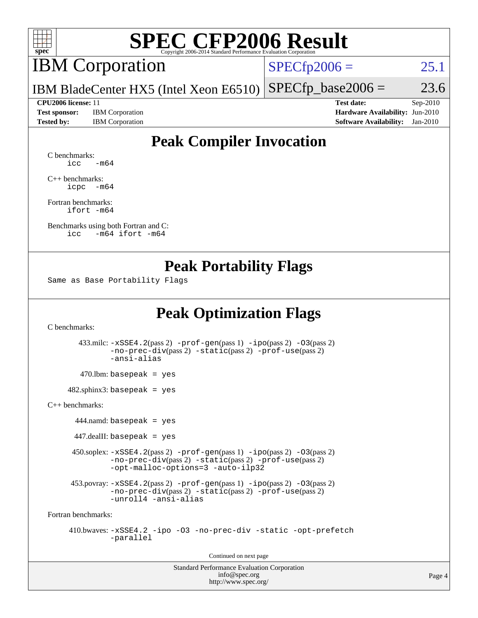

# **[SPEC CFP2006 Result](http://www.spec.org/auto/cpu2006/Docs/result-fields.html#SPECCFP2006Result)**

# IBM Corporation

 $SPECfp2006 = 25.1$  $SPECfp2006 = 25.1$ 

IBM BladeCenter HX5 (Intel Xeon E6510)  $SPECTp\_base2006 = 23.6$ 

**[Test sponsor:](http://www.spec.org/auto/cpu2006/Docs/result-fields.html#Testsponsor)** IBM Corporation **[Hardware Availability:](http://www.spec.org/auto/cpu2006/Docs/result-fields.html#HardwareAvailability)** Jun-2010

**[CPU2006 license:](http://www.spec.org/auto/cpu2006/Docs/result-fields.html#CPU2006license)** 11 **[Test date:](http://www.spec.org/auto/cpu2006/Docs/result-fields.html#Testdate)** Sep-2010 **[Tested by:](http://www.spec.org/auto/cpu2006/Docs/result-fields.html#Testedby)** IBM Corporation **[Software Availability:](http://www.spec.org/auto/cpu2006/Docs/result-fields.html#SoftwareAvailability)** Jan-2010

## **[Peak Compiler Invocation](http://www.spec.org/auto/cpu2006/Docs/result-fields.html#PeakCompilerInvocation)**

[C benchmarks](http://www.spec.org/auto/cpu2006/Docs/result-fields.html#Cbenchmarks):  $\text{icc}$   $-\text{m64}$ 

[C++ benchmarks:](http://www.spec.org/auto/cpu2006/Docs/result-fields.html#CXXbenchmarks) [icpc -m64](http://www.spec.org/cpu2006/results/res2010q3/cpu2006-20100914-13295.flags.html#user_CXXpeak_intel_icpc_64bit_bedb90c1146cab66620883ef4f41a67e)

[Fortran benchmarks](http://www.spec.org/auto/cpu2006/Docs/result-fields.html#Fortranbenchmarks): [ifort -m64](http://www.spec.org/cpu2006/results/res2010q3/cpu2006-20100914-13295.flags.html#user_FCpeak_intel_ifort_64bit_ee9d0fb25645d0210d97eb0527dcc06e)

[Benchmarks using both Fortran and C](http://www.spec.org/auto/cpu2006/Docs/result-fields.html#BenchmarksusingbothFortranandC): [icc -m64](http://www.spec.org/cpu2006/results/res2010q3/cpu2006-20100914-13295.flags.html#user_CC_FCpeak_intel_icc_64bit_0b7121f5ab7cfabee23d88897260401c) [ifort -m64](http://www.spec.org/cpu2006/results/res2010q3/cpu2006-20100914-13295.flags.html#user_CC_FCpeak_intel_ifort_64bit_ee9d0fb25645d0210d97eb0527dcc06e)

### **[Peak Portability Flags](http://www.spec.org/auto/cpu2006/Docs/result-fields.html#PeakPortabilityFlags)**

Same as Base Portability Flags

## **[Peak Optimization Flags](http://www.spec.org/auto/cpu2006/Docs/result-fields.html#PeakOptimizationFlags)**

[C benchmarks](http://www.spec.org/auto/cpu2006/Docs/result-fields.html#Cbenchmarks):

 433.milc: [-xSSE4.2](http://www.spec.org/cpu2006/results/res2010q3/cpu2006-20100914-13295.flags.html#user_peakPASS2_CFLAGSPASS2_LDFLAGS433_milc_f-xSSE42_f91528193cf0b216347adb8b939d4107)(pass 2) [-prof-gen](http://www.spec.org/cpu2006/results/res2010q3/cpu2006-20100914-13295.flags.html#user_peakPASS1_CFLAGSPASS1_LDFLAGS433_milc_prof_gen_e43856698f6ca7b7e442dfd80e94a8fc)(pass 1) [-ipo](http://www.spec.org/cpu2006/results/res2010q3/cpu2006-20100914-13295.flags.html#user_peakPASS2_CFLAGSPASS2_LDFLAGS433_milc_f-ipo)(pass 2) [-O3](http://www.spec.org/cpu2006/results/res2010q3/cpu2006-20100914-13295.flags.html#user_peakPASS2_CFLAGSPASS2_LDFLAGS433_milc_f-O3)(pass 2) [-no-prec-div](http://www.spec.org/cpu2006/results/res2010q3/cpu2006-20100914-13295.flags.html#user_peakPASS2_CFLAGSPASS2_LDFLAGS433_milc_f-no-prec-div)(pass 2) [-static](http://www.spec.org/cpu2006/results/res2010q3/cpu2006-20100914-13295.flags.html#user_peakPASS2_CFLAGSPASS2_LDFLAGS433_milc_f-static)(pass 2) [-prof-use](http://www.spec.org/cpu2006/results/res2010q3/cpu2006-20100914-13295.flags.html#user_peakPASS2_CFLAGSPASS2_LDFLAGS433_milc_prof_use_bccf7792157ff70d64e32fe3e1250b55)(pass 2) [-ansi-alias](http://www.spec.org/cpu2006/results/res2010q3/cpu2006-20100914-13295.flags.html#user_peakOPTIMIZE433_milc_f-ansi-alias)  $470.$ lbm: basepeak = yes  $482$ .sphinx3: basepeak = yes [C++ benchmarks:](http://www.spec.org/auto/cpu2006/Docs/result-fields.html#CXXbenchmarks) 444.namd: basepeak = yes  $447$ .dealII: basepeak = yes 450.soplex: [-xSSE4.2](http://www.spec.org/cpu2006/results/res2010q3/cpu2006-20100914-13295.flags.html#user_peakPASS2_CXXFLAGSPASS2_LDFLAGS450_soplex_f-xSSE42_f91528193cf0b216347adb8b939d4107)(pass 2) [-prof-gen](http://www.spec.org/cpu2006/results/res2010q3/cpu2006-20100914-13295.flags.html#user_peakPASS1_CXXFLAGSPASS1_LDFLAGS450_soplex_prof_gen_e43856698f6ca7b7e442dfd80e94a8fc)(pass 1) [-ipo](http://www.spec.org/cpu2006/results/res2010q3/cpu2006-20100914-13295.flags.html#user_peakPASS2_CXXFLAGSPASS2_LDFLAGS450_soplex_f-ipo)(pass 2) [-O3](http://www.spec.org/cpu2006/results/res2010q3/cpu2006-20100914-13295.flags.html#user_peakPASS2_CXXFLAGSPASS2_LDFLAGS450_soplex_f-O3)(pass 2) [-no-prec-div](http://www.spec.org/cpu2006/results/res2010q3/cpu2006-20100914-13295.flags.html#user_peakPASS2_CXXFLAGSPASS2_LDFLAGS450_soplex_f-no-prec-div)(pass 2) [-static](http://www.spec.org/cpu2006/results/res2010q3/cpu2006-20100914-13295.flags.html#user_peakPASS2_CXXFLAGSPASS2_LDFLAGS450_soplex_f-static)(pass 2) [-prof-use](http://www.spec.org/cpu2006/results/res2010q3/cpu2006-20100914-13295.flags.html#user_peakPASS2_CXXFLAGSPASS2_LDFLAGS450_soplex_prof_use_bccf7792157ff70d64e32fe3e1250b55)(pass 2) [-opt-malloc-options=3](http://www.spec.org/cpu2006/results/res2010q3/cpu2006-20100914-13295.flags.html#user_peakOPTIMIZE450_soplex_f-opt-malloc-options_13ab9b803cf986b4ee62f0a5998c2238) [-auto-ilp32](http://www.spec.org/cpu2006/results/res2010q3/cpu2006-20100914-13295.flags.html#user_peakCXXOPTIMIZE450_soplex_f-auto-ilp32) 453.povray:  $-xSSE4$ . 2(pass 2)  $-prof-gen(pass 1) -ipo(pass 2) -O3(pass 2)$  $-prof-gen(pass 1) -ipo(pass 2) -O3(pass 2)$  $-prof-gen(pass 1) -ipo(pass 2) -O3(pass 2)$  $-prof-gen(pass 1) -ipo(pass 2) -O3(pass 2)$  $-prof-gen(pass 1) -ipo(pass 2) -O3(pass 2)$  $-prof-gen(pass 1) -ipo(pass 2) -O3(pass 2)$ [-no-prec-div](http://www.spec.org/cpu2006/results/res2010q3/cpu2006-20100914-13295.flags.html#user_peakPASS2_CXXFLAGSPASS2_LDFLAGS453_povray_f-no-prec-div)(pass 2) [-static](http://www.spec.org/cpu2006/results/res2010q3/cpu2006-20100914-13295.flags.html#user_peakPASS2_CXXFLAGSPASS2_LDFLAGS453_povray_f-static)(pass 2) [-prof-use](http://www.spec.org/cpu2006/results/res2010q3/cpu2006-20100914-13295.flags.html#user_peakPASS2_CXXFLAGSPASS2_LDFLAGS453_povray_prof_use_bccf7792157ff70d64e32fe3e1250b55)(pass 2) [-unroll4](http://www.spec.org/cpu2006/results/res2010q3/cpu2006-20100914-13295.flags.html#user_peakCXXOPTIMIZE453_povray_f-unroll_4e5e4ed65b7fd20bdcd365bec371b81f) [-ansi-alias](http://www.spec.org/cpu2006/results/res2010q3/cpu2006-20100914-13295.flags.html#user_peakCXXOPTIMIZE453_povray_f-ansi-alias) [Fortran benchmarks](http://www.spec.org/auto/cpu2006/Docs/result-fields.html#Fortranbenchmarks): 410.bwaves: [-xSSE4.2](http://www.spec.org/cpu2006/results/res2010q3/cpu2006-20100914-13295.flags.html#user_peakOPTIMIZE410_bwaves_f-xSSE42_f91528193cf0b216347adb8b939d4107) [-ipo](http://www.spec.org/cpu2006/results/res2010q3/cpu2006-20100914-13295.flags.html#user_peakOPTIMIZE410_bwaves_f-ipo) [-O3](http://www.spec.org/cpu2006/results/res2010q3/cpu2006-20100914-13295.flags.html#user_peakOPTIMIZE410_bwaves_f-O3) [-no-prec-div](http://www.spec.org/cpu2006/results/res2010q3/cpu2006-20100914-13295.flags.html#user_peakOPTIMIZE410_bwaves_f-no-prec-div) [-static](http://www.spec.org/cpu2006/results/res2010q3/cpu2006-20100914-13295.flags.html#user_peakOPTIMIZE410_bwaves_f-static) [-opt-prefetch](http://www.spec.org/cpu2006/results/res2010q3/cpu2006-20100914-13295.flags.html#user_peakOPTIMIZE410_bwaves_f-opt-prefetch) [-parallel](http://www.spec.org/cpu2006/results/res2010q3/cpu2006-20100914-13295.flags.html#user_peakOPTIMIZE410_bwaves_f-parallel)

Continued on next page

Standard Performance Evaluation Corporation [info@spec.org](mailto:info@spec.org) <http://www.spec.org/>